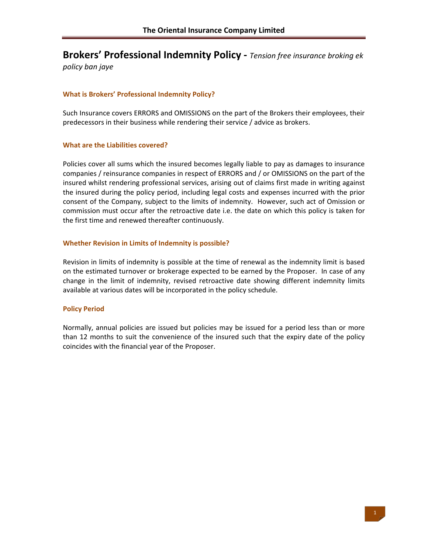# **Brokers' Professional Indemnity Policy ‐** *Tension free insurance broking ek*

*policy ban jaye*

# **What is Brokers' Professional Indemnity Policy?**

Such Insurance covers ERRORS and OMISSIONS on the part of the Brokers their employees, their predecessors in their business while rendering their service / advice as brokers.

## **What are the Liabilities covered?**

Policies cover all sums which the insured becomes legally liable to pay as damages to insurance companies / reinsurance companies in respect of ERRORS and / or OMISSIONS on the part of the insured whilst rendering professional services, arising out of claims first made in writing against the insured during the policy period, including legal costs and expenses incurred with the prior consent of the Company, subject to the limits of indemnity. However, such act of Omission or commission must occur after the retroactive date i.e. the date on which this policy is taken for the first time and renewed thereafter continuously.

## **Whether Revision in Limits of Indemnity is possible?**

Revision in limits of indemnity is possible at the time of renewal as the indemnity limit is based on the estimated turnover or brokerage expected to be earned by the Proposer. In case of any change in the limit of indemnity, revised retroactive date showing different indemnity limits available at various dates will be incorporated in the policy schedule.

# **Policy Period**

Normally, annual policies are issued but policies may be issued for a period less than or more than 12 months to suit the convenience of the insured such that the expiry date of the policy coincides with the financial year of the Proposer.